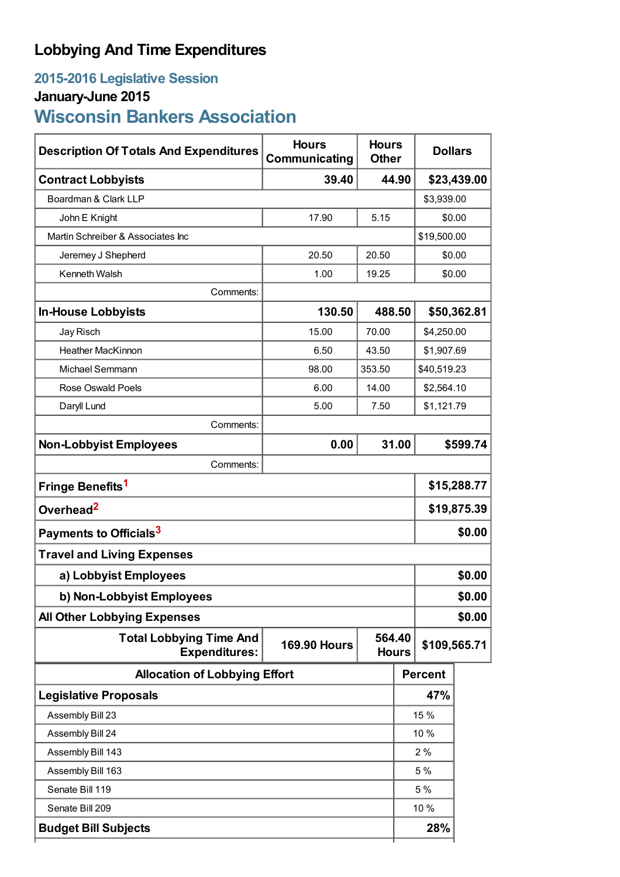## **Lobbying And Time Expenditures**

### **2015-2016 Legislative Session**

# **January-June 2015**

# **Wisconsin Bankers Association**

| <b>Description Of Totals And Expenditures</b>          | <b>Hours</b><br>Communicating | <b>Hours</b><br><b>Other</b> | <b>Dollars</b> |                |             |  |
|--------------------------------------------------------|-------------------------------|------------------------------|----------------|----------------|-------------|--|
| <b>Contract Lobbyists</b>                              | 39.40                         |                              | 44.90          |                | \$23,439.00 |  |
| Boardman & Clark LLP                                   |                               |                              |                | \$3,939.00     |             |  |
| John E Knight                                          | 17.90                         | 5.15                         |                | \$0.00         |             |  |
| Martin Schreiber & Associates Inc                      |                               |                              |                | \$19,500.00    |             |  |
| Jeremey J Shepherd                                     | 20.50                         | 20.50                        |                |                | \$0.00      |  |
| Kenneth Walsh                                          | 1.00                          | 19.25                        | \$0.00         |                |             |  |
| Comments:                                              |                               |                              |                |                |             |  |
| <b>In-House Lobbyists</b>                              | 130.50                        | 488.50                       |                | \$50,362.81    |             |  |
| Jay Risch                                              | 15.00                         | 70.00                        |                | \$4,250.00     |             |  |
| <b>Heather MacKinnon</b>                               | 6.50                          | 43.50                        |                | \$1,907.69     |             |  |
| Michael Semmann                                        | 98.00                         | 353.50                       |                | \$40,519.23    |             |  |
| Rose Oswald Poels                                      | 6.00                          | 14.00                        |                | \$2,564.10     |             |  |
| Daryll Lund                                            | 5.00                          | 7.50                         |                | \$1,121.79     |             |  |
| Comments:                                              |                               |                              |                |                |             |  |
| <b>Non-Lobbyist Employees</b>                          | 0.00                          |                              | 31.00          | \$599.74       |             |  |
| Comments:                                              |                               |                              |                |                |             |  |
| Fringe Benefits <sup>1</sup>                           |                               |                              |                | \$15,288.77    |             |  |
| Overhead <sup>2</sup>                                  |                               |                              |                | \$19,875.39    |             |  |
| Payments to Officials <sup>3</sup>                     |                               |                              |                | \$0.00         |             |  |
| <b>Travel and Living Expenses</b>                      |                               |                              |                |                |             |  |
| a) Lobbyist Employees                                  |                               |                              |                | \$0.00         |             |  |
| b) Non-Lobbyist Employees                              |                               |                              |                | \$0.00         |             |  |
| <b>All Other Lobbying Expenses</b>                     |                               |                              |                |                | \$0.00      |  |
| <b>Total Lobbying Time And</b><br><b>Expenditures:</b> | <b>169.90 Hours</b>           | 564.40<br><b>Hours</b>       |                | \$109,565.71   |             |  |
| <b>Allocation of Lobbying Effort</b>                   |                               |                              |                | <b>Percent</b> |             |  |
| <b>Legislative Proposals</b>                           |                               |                              |                | 47%            |             |  |
| Assembly Bill 23                                       |                               |                              |                | 15 %           |             |  |
| Assembly Bill 24                                       |                               |                              |                | 10 %           |             |  |
| Assembly Bill 143                                      |                               |                              |                | 2%             |             |  |
| Assembly Bill 163                                      |                               |                              |                | 5 %            |             |  |
| Senate Bill 119                                        |                               |                              |                | 5 %            |             |  |
| Senate Bill 209                                        |                               |                              |                | 10 %           |             |  |
| <b>Budget Bill Subjects</b>                            |                               |                              |                | 28%            |             |  |